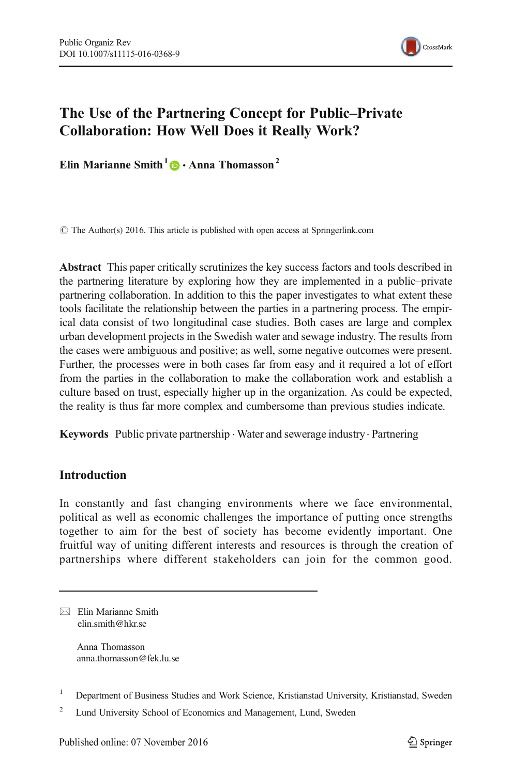

# The Use of the Partnering Concept for Public–Private Collaboration: How Well Does it Really Work?

Elin Marianne Smith<sup>1</sup>  $\bullet$  Anna Thomasson<sup>2</sup>

© The Author(s) 2016. This article is published with open access at Springerlink.com

Abstract This paper critically scrutinizes the key success factors and tools described in the partnering literature by exploring how they are implemented in a public–private partnering collaboration. In addition to this the paper investigates to what extent these tools facilitate the relationship between the parties in a partnering process. The empirical data consist of two longitudinal case studies. Both cases are large and complex urban development projects in the Swedish water and sewage industry. The results from the cases were ambiguous and positive; as well, some negative outcomes were present. Further, the processes were in both cases far from easy and it required a lot of effort from the parties in the collaboration to make the collaboration work and establish a culture based on trust, especially higher up in the organization. As could be expected, the reality is thus far more complex and cumbersome than previous studies indicate.

Keywords Public private partnership . Water and sewerage industry. Partnering

# **Introduction**

In constantly and fast changing environments where we face environmental, political as well as economic challenges the importance of putting once strengths together to aim for the best of society has become evidently important. One fruitful way of uniting different interests and resources is through the creation of partnerships where different stakeholders can join for the common good.

 $\boxtimes$  Elin Marianne Smith elin.smith@hkr.se

> Anna Thomasson anna.thomasson@fek.lu.se

<sup>1</sup> Department of Business Studies and Work Science, Kristianstad University, Kristianstad, Sweden

<sup>&</sup>lt;sup>2</sup> Lund University School of Economics and Management, Lund, Sweden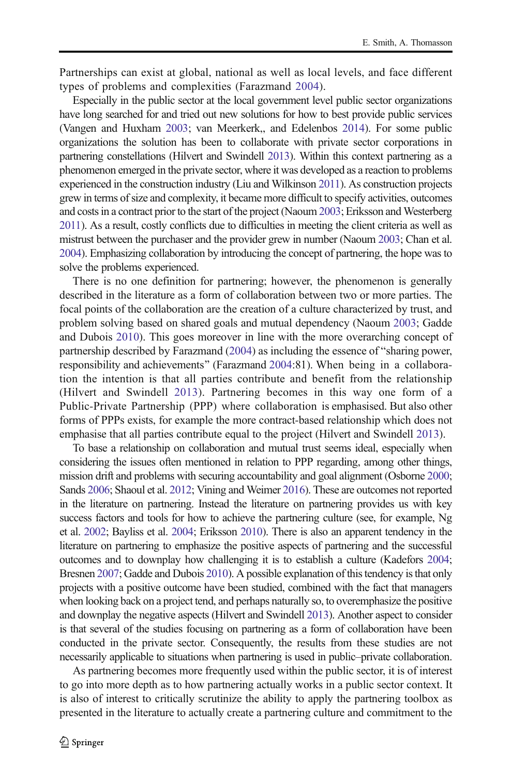Partnerships can exist at global, national as well as local levels, and face different types of problems and complexities (Farazmand [2004](#page-14-0)).

Especially in the public sector at the local government level public sector organizations have long searched for and tried out new solutions for how to best provide public services (Vangen and Huxham [2003;](#page-15-0) van Meerkerk,, and Edelenbos [2014](#page-15-0)). For some public organizations the solution has been to collaborate with private sector corporations in partnering constellations (Hilvert and Swindell [2013\)](#page-14-0). Within this context partnering as a phenomenon emerged in the private sector, where it was developed as a reaction to problems experienced in the construction industry (Liu and Wilkinson [2011](#page-15-0)). As construction projects grew in terms of size and complexity, it became more difficult to specify activities, outcomes and costs in a contract prior to the start of the project (Naoum [2003;](#page-15-0) Eriksson and Westerberg [2011\)](#page-14-0). As a result, costly conflicts due to difficulties in meeting the client criteria as well as mistrust between the purchaser and the provider grew in number (Naoum [2003;](#page-15-0) Chan et al. [2004\)](#page-14-0). Emphasizing collaboration by introducing the concept of partnering, the hope was to solve the problems experienced.

There is no one definition for partnering; however, the phenomenon is generally described in the literature as a form of collaboration between two or more parties. The focal points of the collaboration are the creation of a culture characterized by trust, and problem solving based on shared goals and mutual dependency (Naoum [2003](#page-15-0); Gadde and Dubois [2010](#page-14-0)). This goes moreover in line with the more overarching concept of partnership described by Farazmand  $(2004)$  $(2004)$  $(2004)$  as including the essence of "sharing power, responsibility and achievements" (Farazmand [2004:](#page-14-0)81). When being in a collaboration the intention is that all parties contribute and benefit from the relationship (Hilvert and Swindell [2013](#page-14-0)). Partnering becomes in this way one form of a Public-Private Partnership (PPP) where collaboration is emphasised. But also other forms of PPPs exists, for example the more contract-based relationship which does not emphasise that all parties contribute equal to the project (Hilvert and Swindell [2013](#page-14-0)).

To base a relationship on collaboration and mutual trust seems ideal, especially when considering the issues often mentioned in relation to PPP regarding, among other things, mission drift and problems with securing accountability and goal alignment (Osborne [2000;](#page-15-0) Sands [2006](#page-15-0); Shaoul et al. [2012](#page-15-0); Vining and Weimer [2016\)](#page-15-0). These are outcomes not reported in the literature on partnering. Instead the literature on partnering provides us with key success factors and tools for how to achieve the partnering culture (see, for example, Ng et al. [2002;](#page-15-0) Bayliss et al. [2004;](#page-14-0) Eriksson [2010](#page-14-0)). There is also an apparent tendency in the literature on partnering to emphasize the positive aspects of partnering and the successful outcomes and to downplay how challenging it is to establish a culture (Kadefors [2004;](#page-14-0) Bresnen [2007](#page-14-0); Gadde and Dubois [2010\)](#page-14-0). A possible explanation of this tendency is that only projects with a positive outcome have been studied, combined with the fact that managers when looking back on a project tend, and perhaps naturally so, to overemphasize the positive and downplay the negative aspects (Hilvert and Swindell [2013](#page-14-0)). Another aspect to consider is that several of the studies focusing on partnering as a form of collaboration have been conducted in the private sector. Consequently, the results from these studies are not necessarily applicable to situations when partnering is used in public–private collaboration.

As partnering becomes more frequently used within the public sector, it is of interest to go into more depth as to how partnering actually works in a public sector context. It is also of interest to critically scrutinize the ability to apply the partnering toolbox as presented in the literature to actually create a partnering culture and commitment to the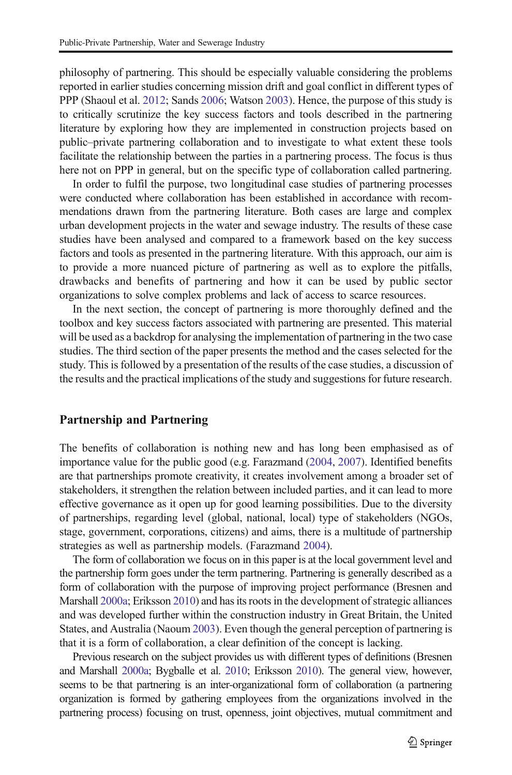philosophy of partnering. This should be especially valuable considering the problems reported in earlier studies concerning mission drift and goal conflict in different types of PPP (Shaoul et al. [2012](#page-15-0); Sands [2006](#page-15-0); Watson [2003\)](#page-15-0). Hence, the purpose of this study is to critically scrutinize the key success factors and tools described in the partnering literature by exploring how they are implemented in construction projects based on public–private partnering collaboration and to investigate to what extent these tools facilitate the relationship between the parties in a partnering process. The focus is thus here not on PPP in general, but on the specific type of collaboration called partnering.

In order to fulfil the purpose, two longitudinal case studies of partnering processes were conducted where collaboration has been established in accordance with recommendations drawn from the partnering literature. Both cases are large and complex urban development projects in the water and sewage industry. The results of these case studies have been analysed and compared to a framework based on the key success factors and tools as presented in the partnering literature. With this approach, our aim is to provide a more nuanced picture of partnering as well as to explore the pitfalls, drawbacks and benefits of partnering and how it can be used by public sector organizations to solve complex problems and lack of access to scarce resources.

In the next section, the concept of partnering is more thoroughly defined and the toolbox and key success factors associated with partnering are presented. This material will be used as a backdrop for analysing the implementation of partnering in the two case studies. The third section of the paper presents the method and the cases selected for the study. This is followed by a presentation of the results of the case studies, a discussion of the results and the practical implications of the study and suggestions for future research.

#### Partnership and Partnering

The benefits of collaboration is nothing new and has long been emphasised as of importance value for the public good (e.g. Farazmand ([2004](#page-14-0), [2007\)](#page-14-0). Identified benefits are that partnerships promote creativity, it creates involvement among a broader set of stakeholders, it strengthen the relation between included parties, and it can lead to more effective governance as it open up for good learning possibilities. Due to the diversity of partnerships, regarding level (global, national, local) type of stakeholders (NGOs, stage, government, corporations, citizens) and aims, there is a multitude of partnership strategies as well as partnership models. (Farazmand [2004](#page-14-0)).

The form of collaboration we focus on in this paper is at the local government level and the partnership form goes under the term partnering. Partnering is generally described as a form of collaboration with the purpose of improving project performance (Bresnen and Marshall [2000a](#page-14-0); Eriksson [2010\)](#page-14-0) and has its roots in the development of strategic alliances and was developed further within the construction industry in Great Britain, the United States, and Australia (Naoum [2003\)](#page-15-0). Even though the general perception of partnering is that it is a form of collaboration, a clear definition of the concept is lacking.

Previous research on the subject provides us with different types of definitions (Bresnen and Marshall [2000a](#page-14-0); Bygballe et al. [2010](#page-14-0); Eriksson [2010](#page-14-0)). The general view, however, seems to be that partnering is an inter-organizational form of collaboration (a partnering organization is formed by gathering employees from the organizations involved in the partnering process) focusing on trust, openness, joint objectives, mutual commitment and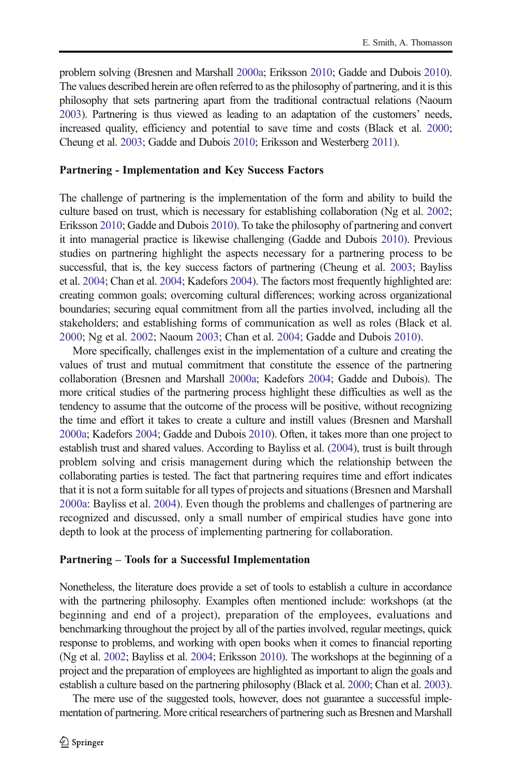problem solving (Bresnen and Marshall [2000a;](#page-14-0) Eriksson [2010](#page-14-0); Gadde and Dubois [2010\)](#page-14-0). The values described herein are often referred to as the philosophy of partnering, and it is this philosophy that sets partnering apart from the traditional contractual relations (Naoum [2003\)](#page-15-0). Partnering is thus viewed as leading to an adaptation of the customers' needs, increased quality, efficiency and potential to save time and costs (Black et al. [2000;](#page-14-0) Cheung et al. [2003](#page-14-0); Gadde and Dubois [2010;](#page-14-0) Eriksson and Westerberg [2011\)](#page-14-0).

#### Partnering - Implementation and Key Success Factors

The challenge of partnering is the implementation of the form and ability to build the culture based on trust, which is necessary for establishing collaboration (Ng et al. [2002;](#page-15-0) Eriksson [2010;](#page-14-0) Gadde and Dubois [2010](#page-14-0)). To take the philosophy of partnering and convert it into managerial practice is likewise challenging (Gadde and Dubois [2010](#page-14-0)). Previous studies on partnering highlight the aspects necessary for a partnering process to be successful, that is, the key success factors of partnering (Cheung et al. [2003](#page-14-0); Bayliss et al. [2004](#page-14-0); Chan et al. [2004](#page-14-0); Kadefors [2004\)](#page-14-0). The factors most frequently highlighted are: creating common goals; overcoming cultural differences; working across organizational boundaries; securing equal commitment from all the parties involved, including all the stakeholders; and establishing forms of communication as well as roles (Black et al. [2000;](#page-14-0) Ng et al. [2002;](#page-15-0) Naoum [2003;](#page-15-0) Chan et al. [2004;](#page-14-0) Gadde and Dubois [2010](#page-14-0)).

More specifically, challenges exist in the implementation of a culture and creating the values of trust and mutual commitment that constitute the essence of the partnering collaboration (Bresnen and Marshall [2000a](#page-14-0); Kadefors [2004;](#page-14-0) Gadde and Dubois). The more critical studies of the partnering process highlight these difficulties as well as the tendency to assume that the outcome of the process will be positive, without recognizing the time and effort it takes to create a culture and instill values (Bresnen and Marshall [2000a](#page-14-0); Kadefors [2004](#page-14-0); Gadde and Dubois [2010\)](#page-14-0). Often, it takes more than one project to establish trust and shared values. According to Bayliss et al. [\(2004](#page-14-0)), trust is built through problem solving and crisis management during which the relationship between the collaborating parties is tested. The fact that partnering requires time and effort indicates that it is not a form suitable for all types of projects and situations (Bresnen and Marshall [2000a:](#page-14-0) Bayliss et al. [2004\)](#page-14-0). Even though the problems and challenges of partnering are recognized and discussed, only a small number of empirical studies have gone into depth to look at the process of implementing partnering for collaboration.

#### Partnering – Tools for a Successful Implementation

Nonetheless, the literature does provide a set of tools to establish a culture in accordance with the partnering philosophy. Examples often mentioned include: workshops (at the beginning and end of a project), preparation of the employees, evaluations and benchmarking throughout the project by all of the parties involved, regular meetings, quick response to problems, and working with open books when it comes to financial reporting (Ng et al. [2002;](#page-15-0) Bayliss et al. [2004;](#page-14-0) Eriksson [2010\)](#page-14-0). The workshops at the beginning of a project and the preparation of employees are highlighted as important to align the goals and establish a culture based on the partnering philosophy (Black et al. [2000](#page-14-0); Chan et al. [2003\)](#page-14-0).

The mere use of the suggested tools, however, does not guarantee a successful implementation of partnering. More critical researchers of partnering such as Bresnen and Marshall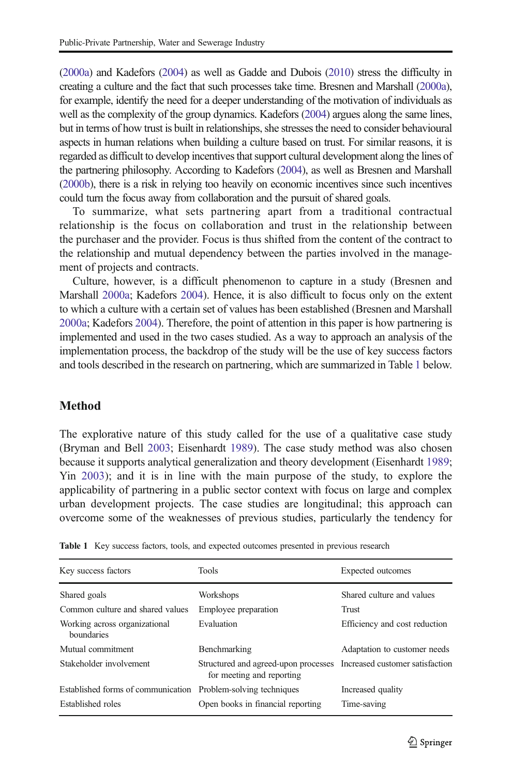<span id="page-4-0"></span>[\(2000a](#page-14-0)) and Kadefors [\(2004\)](#page-14-0) as well as Gadde and Dubois [\(2010\)](#page-14-0) stress the difficulty in creating a culture and the fact that such processes take time. Bresnen and Marshall [\(2000a\)](#page-14-0), for example, identify the need for a deeper understanding of the motivation of individuals as well as the complexity of the group dynamics. Kadefors ([2004](#page-14-0)) argues along the same lines, but in terms of how trust is built in relationships, she stresses the need to consider behavioural aspects in human relations when building a culture based on trust. For similar reasons, it is regarded as difficult to develop incentives that support cultural development along the lines of the partnering philosophy. According to Kadefors [\(2004](#page-14-0)), as well as Bresnen and Marshall [\(2000b](#page-14-0)), there is a risk in relying too heavily on economic incentives since such incentives could turn the focus away from collaboration and the pursuit of shared goals.

To summarize, what sets partnering apart from a traditional contractual relationship is the focus on collaboration and trust in the relationship between the purchaser and the provider. Focus is thus shifted from the content of the contract to the relationship and mutual dependency between the parties involved in the management of projects and contracts.

Culture, however, is a difficult phenomenon to capture in a study (Bresnen and Marshall [2000a](#page-14-0); Kadefors [2004](#page-14-0)). Hence, it is also difficult to focus only on the extent to which a culture with a certain set of values has been established (Bresnen and Marshall [2000a](#page-14-0); Kadefors [2004](#page-14-0)). Therefore, the point of attention in this paper is how partnering is implemented and used in the two cases studied. As a way to approach an analysis of the implementation process, the backdrop of the study will be the use of key success factors and tools described in the research on partnering, which are summarized in Table 1 below.

### **Method**

The explorative nature of this study called for the use of a qualitative case study (Bryman and Bell [2003](#page-14-0); Eisenhardt [1989](#page-14-0)). The case study method was also chosen because it supports analytical generalization and theory development (Eisenhardt [1989;](#page-14-0) Yin [2003](#page-15-0)); and it is in line with the main purpose of the study, to explore the applicability of partnering in a public sector context with focus on large and complex urban development projects. The case studies are longitudinal; this approach can overcome some of the weaknesses of previous studies, particularly the tendency for

| Key success factors                         | <b>Tools</b>                                                                                      | Expected outcomes             |
|---------------------------------------------|---------------------------------------------------------------------------------------------------|-------------------------------|
| Shared goals                                | Workshops                                                                                         | Shared culture and values     |
| Common culture and shared values            | Employee preparation                                                                              | Trust                         |
| Working across organizational<br>boundaries | Evaluation                                                                                        | Efficiency and cost reduction |
| Mutual commitment                           | Benchmarking                                                                                      | Adaptation to customer needs  |
| Stakeholder involvement                     | Structured and agreed-upon processes Increased customer satisfaction<br>for meeting and reporting |                               |
| Established forms of communication          | Problem-solving techniques                                                                        | Increased quality             |
| Established roles                           | Open books in financial reporting                                                                 | Time-saving                   |

Table 1 Key success factors, tools, and expected outcomes presented in previous research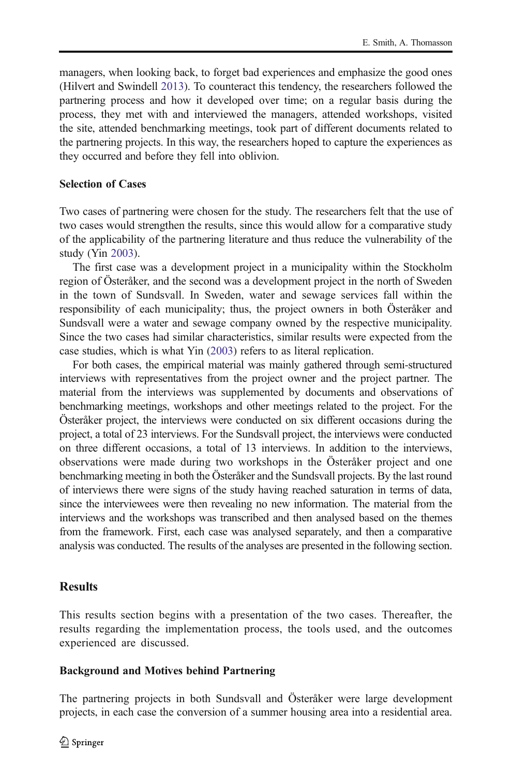managers, when looking back, to forget bad experiences and emphasize the good ones (Hilvert and Swindell [2013\)](#page-14-0). To counteract this tendency, the researchers followed the partnering process and how it developed over time; on a regular basis during the process, they met with and interviewed the managers, attended workshops, visited the site, attended benchmarking meetings, took part of different documents related to the partnering projects. In this way, the researchers hoped to capture the experiences as they occurred and before they fell into oblivion.

# Selection of Cases

Two cases of partnering were chosen for the study. The researchers felt that the use of two cases would strengthen the results, since this would allow for a comparative study of the applicability of the partnering literature and thus reduce the vulnerability of the study (Yin [2003\)](#page-15-0).

The first case was a development project in a municipality within the Stockholm region of Österåker, and the second was a development project in the north of Sweden in the town of Sundsvall. In Sweden, water and sewage services fall within the responsibility of each municipality; thus, the project owners in both Österåker and Sundsvall were a water and sewage company owned by the respective municipality. Since the two cases had similar characteristics, similar results were expected from the case studies, which is what Yin ([2003](#page-15-0)) refers to as literal replication.

For both cases, the empirical material was mainly gathered through semi-structured interviews with representatives from the project owner and the project partner. The material from the interviews was supplemented by documents and observations of benchmarking meetings, workshops and other meetings related to the project. For the Österåker project, the interviews were conducted on six different occasions during the project, a total of 23 interviews. For the Sundsvall project, the interviews were conducted on three different occasions, a total of 13 interviews. In addition to the interviews, observations were made during two workshops in the Österåker project and one benchmarking meeting in both the Österåker and the Sundsvall projects. By the last round of interviews there were signs of the study having reached saturation in terms of data, since the interviewees were then revealing no new information. The material from the interviews and the workshops was transcribed and then analysed based on the themes from the framework. First, each case was analysed separately, and then a comparative analysis was conducted. The results of the analyses are presented in the following section.

# **Results**

This results section begins with a presentation of the two cases. Thereafter, the results regarding the implementation process, the tools used, and the outcomes experienced are discussed.

# Background and Motives behind Partnering

The partnering projects in both Sundsvall and Österåker were large development projects, in each case the conversion of a summer housing area into a residential area.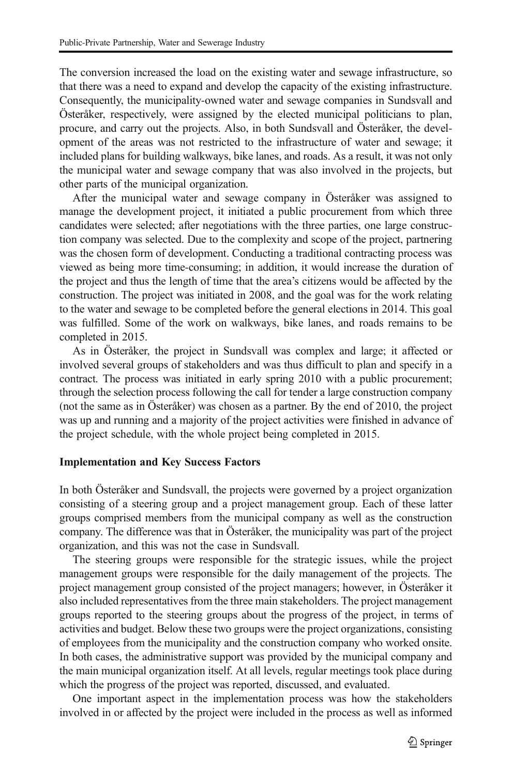The conversion increased the load on the existing water and sewage infrastructure, so that there was a need to expand and develop the capacity of the existing infrastructure. Consequently, the municipality-owned water and sewage companies in Sundsvall and Österåker, respectively, were assigned by the elected municipal politicians to plan, procure, and carry out the projects. Also, in both Sundsvall and Österåker, the development of the areas was not restricted to the infrastructure of water and sewage; it included plans for building walkways, bike lanes, and roads. As a result, it was not only the municipal water and sewage company that was also involved in the projects, but other parts of the municipal organization.

After the municipal water and sewage company in Österåker was assigned to manage the development project, it initiated a public procurement from which three candidates were selected; after negotiations with the three parties, one large construction company was selected. Due to the complexity and scope of the project, partnering was the chosen form of development. Conducting a traditional contracting process was viewed as being more time-consuming; in addition, it would increase the duration of the project and thus the length of time that the area's citizens would be affected by the construction. The project was initiated in 2008, and the goal was for the work relating to the water and sewage to be completed before the general elections in 2014. This goal was fulfilled. Some of the work on walkways, bike lanes, and roads remains to be completed in 2015.

As in Österåker, the project in Sundsvall was complex and large; it affected or involved several groups of stakeholders and was thus difficult to plan and specify in a contract. The process was initiated in early spring 2010 with a public procurement; through the selection process following the call for tender a large construction company (not the same as in Österåker) was chosen as a partner. By the end of 2010, the project was up and running and a majority of the project activities were finished in advance of the project schedule, with the whole project being completed in 2015.

### Implementation and Key Success Factors

In both Österåker and Sundsvall, the projects were governed by a project organization consisting of a steering group and a project management group. Each of these latter groups comprised members from the municipal company as well as the construction company. The difference was that in Österåker, the municipality was part of the project organization, and this was not the case in Sundsvall.

The steering groups were responsible for the strategic issues, while the project management groups were responsible for the daily management of the projects. The project management group consisted of the project managers; however, in Österåker it also included representatives from the three main stakeholders. The project management groups reported to the steering groups about the progress of the project, in terms of activities and budget. Below these two groups were the project organizations, consisting of employees from the municipality and the construction company who worked onsite. In both cases, the administrative support was provided by the municipal company and the main municipal organization itself. At all levels, regular meetings took place during which the progress of the project was reported, discussed, and evaluated.

One important aspect in the implementation process was how the stakeholders involved in or affected by the project were included in the process as well as informed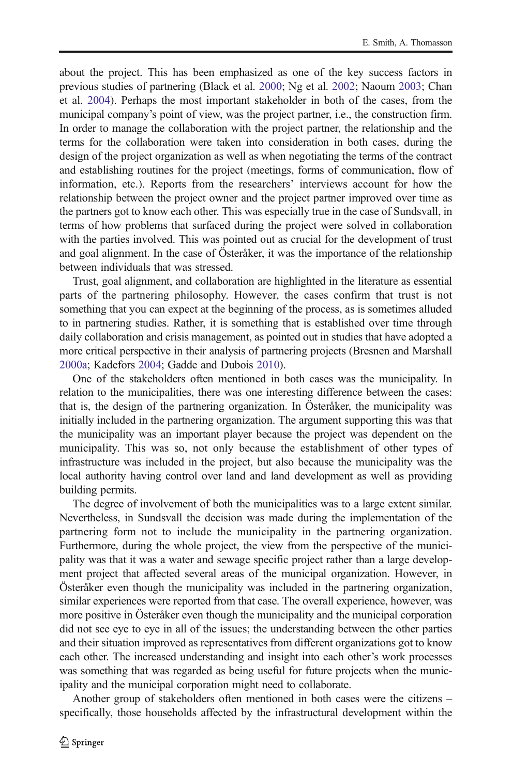about the project. This has been emphasized as one of the key success factors in previous studies of partnering (Black et al. [2000;](#page-14-0) Ng et al. [2002;](#page-15-0) Naoum [2003;](#page-15-0) Chan et al. [2004\)](#page-14-0). Perhaps the most important stakeholder in both of the cases, from the municipal company's point of view, was the project partner, i.e., the construction firm. In order to manage the collaboration with the project partner, the relationship and the terms for the collaboration were taken into consideration in both cases, during the design of the project organization as well as when negotiating the terms of the contract and establishing routines for the project (meetings, forms of communication, flow of information, etc.). Reports from the researchers' interviews account for how the relationship between the project owner and the project partner improved over time as the partners got to know each other. This was especially true in the case of Sundsvall, in terms of how problems that surfaced during the project were solved in collaboration with the parties involved. This was pointed out as crucial for the development of trust and goal alignment. In the case of Österåker, it was the importance of the relationship between individuals that was stressed.

Trust, goal alignment, and collaboration are highlighted in the literature as essential parts of the partnering philosophy. However, the cases confirm that trust is not something that you can expect at the beginning of the process, as is sometimes alluded to in partnering studies. Rather, it is something that is established over time through daily collaboration and crisis management, as pointed out in studies that have adopted a more critical perspective in their analysis of partnering projects (Bresnen and Marshall [2000a;](#page-14-0) Kadefors [2004](#page-14-0); Gadde and Dubois [2010](#page-14-0)).

One of the stakeholders often mentioned in both cases was the municipality. In relation to the municipalities, there was one interesting difference between the cases: that is, the design of the partnering organization. In Österåker, the municipality was initially included in the partnering organization. The argument supporting this was that the municipality was an important player because the project was dependent on the municipality. This was so, not only because the establishment of other types of infrastructure was included in the project, but also because the municipality was the local authority having control over land and land development as well as providing building permits.

The degree of involvement of both the municipalities was to a large extent similar. Nevertheless, in Sundsvall the decision was made during the implementation of the partnering form not to include the municipality in the partnering organization. Furthermore, during the whole project, the view from the perspective of the municipality was that it was a water and sewage specific project rather than a large development project that affected several areas of the municipal organization. However, in Österåker even though the municipality was included in the partnering organization, similar experiences were reported from that case. The overall experience, however, was more positive in Österåker even though the municipality and the municipal corporation did not see eye to eye in all of the issues; the understanding between the other parties and their situation improved as representatives from different organizations got to know each other. The increased understanding and insight into each other's work processes was something that was regarded as being useful for future projects when the municipality and the municipal corporation might need to collaborate.

Another group of stakeholders often mentioned in both cases were the citizens – specifically, those households affected by the infrastructural development within the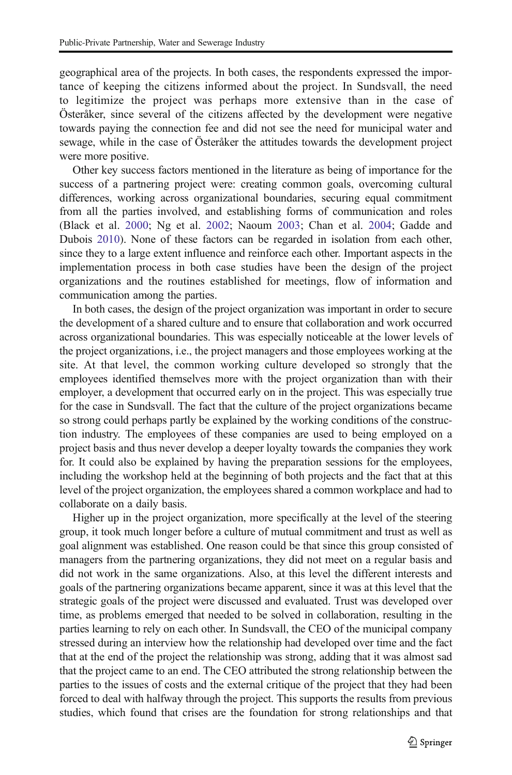geographical area of the projects. In both cases, the respondents expressed the importance of keeping the citizens informed about the project. In Sundsvall, the need to legitimize the project was perhaps more extensive than in the case of Österåker, since several of the citizens affected by the development were negative towards paying the connection fee and did not see the need for municipal water and sewage, while in the case of Österåker the attitudes towards the development project were more positive.

Other key success factors mentioned in the literature as being of importance for the success of a partnering project were: creating common goals, overcoming cultural differences, working across organizational boundaries, securing equal commitment from all the parties involved, and establishing forms of communication and roles (Black et al. [2000](#page-14-0); Ng et al. [2002](#page-15-0); Naoum [2003;](#page-15-0) Chan et al. [2004](#page-14-0); Gadde and Dubois [2010\)](#page-14-0). None of these factors can be regarded in isolation from each other, since they to a large extent influence and reinforce each other. Important aspects in the implementation process in both case studies have been the design of the project organizations and the routines established for meetings, flow of information and communication among the parties.

In both cases, the design of the project organization was important in order to secure the development of a shared culture and to ensure that collaboration and work occurred across organizational boundaries. This was especially noticeable at the lower levels of the project organizations, i.e., the project managers and those employees working at the site. At that level, the common working culture developed so strongly that the employees identified themselves more with the project organization than with their employer, a development that occurred early on in the project. This was especially true for the case in Sundsvall. The fact that the culture of the project organizations became so strong could perhaps partly be explained by the working conditions of the construction industry. The employees of these companies are used to being employed on a project basis and thus never develop a deeper loyalty towards the companies they work for. It could also be explained by having the preparation sessions for the employees, including the workshop held at the beginning of both projects and the fact that at this level of the project organization, the employees shared a common workplace and had to collaborate on a daily basis.

Higher up in the project organization, more specifically at the level of the steering group, it took much longer before a culture of mutual commitment and trust as well as goal alignment was established. One reason could be that since this group consisted of managers from the partnering organizations, they did not meet on a regular basis and did not work in the same organizations. Also, at this level the different interests and goals of the partnering organizations became apparent, since it was at this level that the strategic goals of the project were discussed and evaluated. Trust was developed over time, as problems emerged that needed to be solved in collaboration, resulting in the parties learning to rely on each other. In Sundsvall, the CEO of the municipal company stressed during an interview how the relationship had developed over time and the fact that at the end of the project the relationship was strong, adding that it was almost sad that the project came to an end. The CEO attributed the strong relationship between the parties to the issues of costs and the external critique of the project that they had been forced to deal with halfway through the project. This supports the results from previous studies, which found that crises are the foundation for strong relationships and that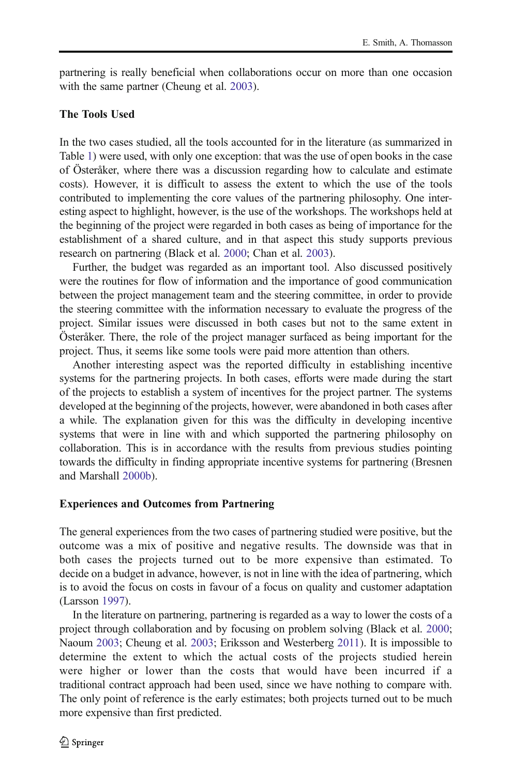partnering is really beneficial when collaborations occur on more than one occasion with the same partner (Cheung et al. [2003](#page-14-0)).

# The Tools Used

In the two cases studied, all the tools accounted for in the literature (as summarized in Table [1\)](#page-4-0) were used, with only one exception: that was the use of open books in the case of Österåker, where there was a discussion regarding how to calculate and estimate costs). However, it is difficult to assess the extent to which the use of the tools contributed to implementing the core values of the partnering philosophy. One interesting aspect to highlight, however, is the use of the workshops. The workshops held at the beginning of the project were regarded in both cases as being of importance for the establishment of a shared culture, and in that aspect this study supports previous research on partnering (Black et al. [2000;](#page-14-0) Chan et al. [2003\)](#page-14-0).

Further, the budget was regarded as an important tool. Also discussed positively were the routines for flow of information and the importance of good communication between the project management team and the steering committee, in order to provide the steering committee with the information necessary to evaluate the progress of the project. Similar issues were discussed in both cases but not to the same extent in Österåker. There, the role of the project manager surfaced as being important for the project. Thus, it seems like some tools were paid more attention than others.

Another interesting aspect was the reported difficulty in establishing incentive systems for the partnering projects. In both cases, efforts were made during the start of the projects to establish a system of incentives for the project partner. The systems developed at the beginning of the projects, however, were abandoned in both cases after a while. The explanation given for this was the difficulty in developing incentive systems that were in line with and which supported the partnering philosophy on collaboration. This is in accordance with the results from previous studies pointing towards the difficulty in finding appropriate incentive systems for partnering (Bresnen and Marshall [2000b\)](#page-14-0).

# Experiences and Outcomes from Partnering

The general experiences from the two cases of partnering studied were positive, but the outcome was a mix of positive and negative results. The downside was that in both cases the projects turned out to be more expensive than estimated. To decide on a budget in advance, however, is not in line with the idea of partnering, which is to avoid the focus on costs in favour of a focus on quality and customer adaptation (Larsson [1997\)](#page-14-0).

In the literature on partnering, partnering is regarded as a way to lower the costs of a project through collaboration and by focusing on problem solving (Black et al. [2000;](#page-14-0) Naoum [2003](#page-15-0); Cheung et al. [2003](#page-14-0); Eriksson and Westerberg [2011](#page-14-0)). It is impossible to determine the extent to which the actual costs of the projects studied herein were higher or lower than the costs that would have been incurred if a traditional contract approach had been used, since we have nothing to compare with. The only point of reference is the early estimates; both projects turned out to be much more expensive than first predicted.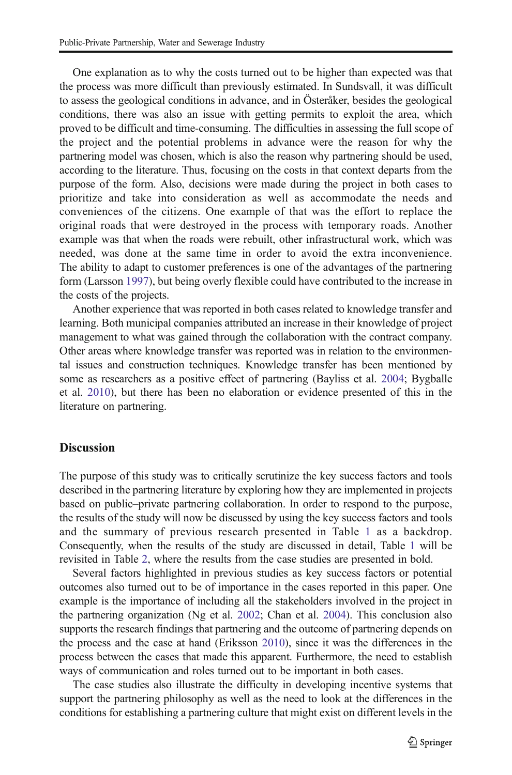One explanation as to why the costs turned out to be higher than expected was that the process was more difficult than previously estimated. In Sundsvall, it was difficult to assess the geological conditions in advance, and in Österåker, besides the geological conditions, there was also an issue with getting permits to exploit the area, which proved to be difficult and time-consuming. The difficulties in assessing the full scope of the project and the potential problems in advance were the reason for why the partnering model was chosen, which is also the reason why partnering should be used, according to the literature. Thus, focusing on the costs in that context departs from the purpose of the form. Also, decisions were made during the project in both cases to prioritize and take into consideration as well as accommodate the needs and conveniences of the citizens. One example of that was the effort to replace the original roads that were destroyed in the process with temporary roads. Another example was that when the roads were rebuilt, other infrastructural work, which was needed, was done at the same time in order to avoid the extra inconvenience. The ability to adapt to customer preferences is one of the advantages of the partnering form (Larsson [1997\)](#page-14-0), but being overly flexible could have contributed to the increase in the costs of the projects.

Another experience that was reported in both cases related to knowledge transfer and learning. Both municipal companies attributed an increase in their knowledge of project management to what was gained through the collaboration with the contract company. Other areas where knowledge transfer was reported was in relation to the environmental issues and construction techniques. Knowledge transfer has been mentioned by some as researchers as a positive effect of partnering (Bayliss et al. [2004;](#page-14-0) Bygballe et al. [2010\)](#page-14-0), but there has been no elaboration or evidence presented of this in the literature on partnering.

### **Discussion**

The purpose of this study was to critically scrutinize the key success factors and tools described in the partnering literature by exploring how they are implemented in projects based on public–private partnering collaboration. In order to respond to the purpose, the results of the study will now be discussed by using the key success factors and tools and the summary of previous research presented in Table [1](#page-4-0) as a backdrop. Consequently, when the results of the study are discussed in detail, Table [1](#page-4-0) will be revisited in Table [2,](#page-11-0) where the results from the case studies are presented in bold.

Several factors highlighted in previous studies as key success factors or potential outcomes also turned out to be of importance in the cases reported in this paper. One example is the importance of including all the stakeholders involved in the project in the partnering organization (Ng et al. [2002](#page-15-0); Chan et al. [2004](#page-14-0)). This conclusion also supports the research findings that partnering and the outcome of partnering depends on the process and the case at hand (Eriksson [2010\)](#page-14-0), since it was the differences in the process between the cases that made this apparent. Furthermore, the need to establish ways of communication and roles turned out to be important in both cases.

The case studies also illustrate the difficulty in developing incentive systems that support the partnering philosophy as well as the need to look at the differences in the conditions for establishing a partnering culture that might exist on different levels in the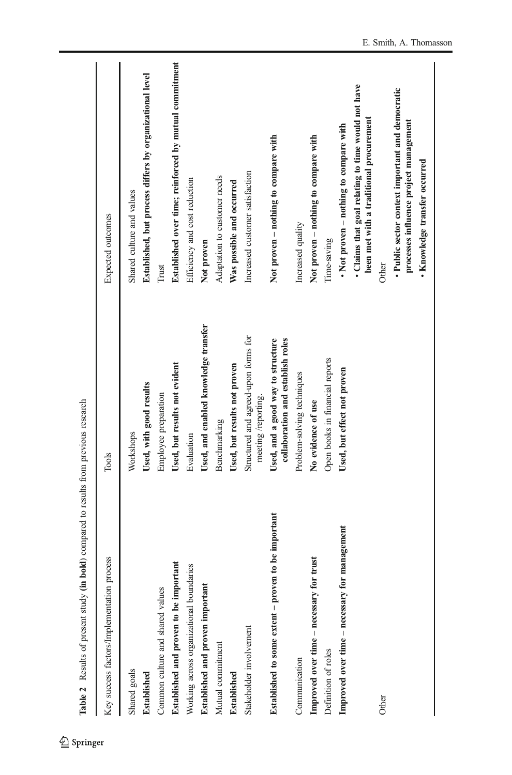<span id="page-11-0"></span>

| Table 2 Results of present study (in                   | <b>bold</b> ) compared to results from previous research               |                                                                                               |
|--------------------------------------------------------|------------------------------------------------------------------------|-----------------------------------------------------------------------------------------------|
| Key success factors/Implementation process             | Tools                                                                  | Expected outcomes                                                                             |
| Shared goals                                           | Workshops                                                              | Shared culture and values                                                                     |
| <b>Established</b>                                     | Used, with good results                                                | Established, but process differs by organizational level                                      |
| Common culture and shared values                       | Employee preparation                                                   | Trust                                                                                         |
| Established and proven to be important                 | Used, but results not evident                                          | Established over time; reinforced by mutual commitment                                        |
| Working across organizational boundaries               | Evaluation                                                             | Efficiency and cost reduction                                                                 |
| Established and proven important                       | Used, and enabled knowledge transfer                                   | Not proven                                                                                    |
| Mutual commitment                                      | Benchmarking                                                           | Adaptation to customer needs                                                                  |
| Established                                            | Used, but results not proven                                           | Was possible and occurred                                                                     |
| Stakeholder involvement                                | Structured and agreed-upon forms for<br>meeting /reporting.            | Increased customer satisfaction                                                               |
| to be important<br>Established to some extent - proven | collaboration and establish roles<br>Used, and a good way to structure | Not proven - nothing to compare with                                                          |
| Communication                                          | Problem-solving techniques                                             | Increased quality                                                                             |
| trust<br>Improved over time - necessary for            | No evidence of use                                                     | Not proven - nothing to compare with                                                          |
| Definition of roles                                    | Open books in financial reports                                        | Time-saving                                                                                   |
| management<br>Improved over time - necessary for       | Used, but effect not proven                                            | • Not proven – nothing to compare with                                                        |
|                                                        |                                                                        | • Claims that goal relating to time would not have<br>been met with a traditional procurement |
| Other                                                  |                                                                        | <b>Other</b>                                                                                  |
|                                                        |                                                                        | · Public sector context important and democratic<br>processes influence project management    |
|                                                        |                                                                        | · Knowledge transfer occurred                                                                 |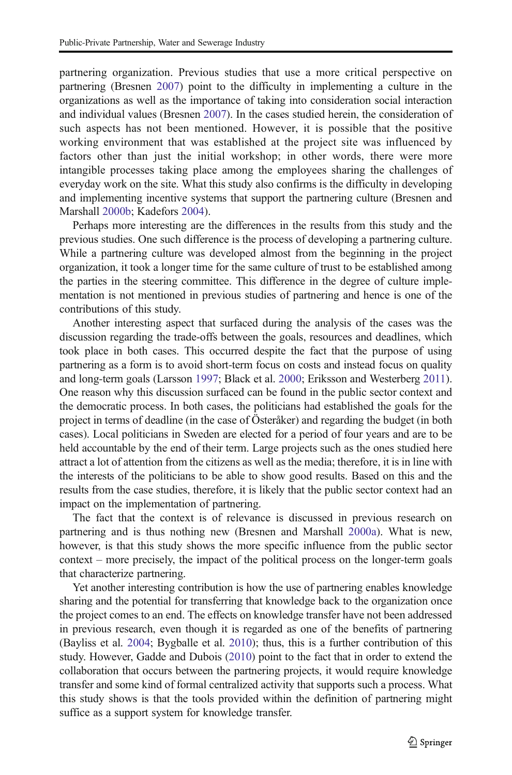partnering organization. Previous studies that use a more critical perspective on partnering (Bresnen [2007](#page-14-0)) point to the difficulty in implementing a culture in the organizations as well as the importance of taking into consideration social interaction and individual values (Bresnen [2007](#page-14-0)). In the cases studied herein, the consideration of such aspects has not been mentioned. However, it is possible that the positive working environment that was established at the project site was influenced by factors other than just the initial workshop; in other words, there were more intangible processes taking place among the employees sharing the challenges of everyday work on the site. What this study also confirms is the difficulty in developing and implementing incentive systems that support the partnering culture (Bresnen and Marshall [2000b](#page-14-0); Kadefors [2004](#page-14-0)).

Perhaps more interesting are the differences in the results from this study and the previous studies. One such difference is the process of developing a partnering culture. While a partnering culture was developed almost from the beginning in the project organization, it took a longer time for the same culture of trust to be established among the parties in the steering committee. This difference in the degree of culture implementation is not mentioned in previous studies of partnering and hence is one of the contributions of this study.

Another interesting aspect that surfaced during the analysis of the cases was the discussion regarding the trade-offs between the goals, resources and deadlines, which took place in both cases. This occurred despite the fact that the purpose of using partnering as a form is to avoid short-term focus on costs and instead focus on quality and long-term goals (Larsson [1997](#page-14-0); Black et al. [2000;](#page-14-0) Eriksson and Westerberg [2011\)](#page-14-0). One reason why this discussion surfaced can be found in the public sector context and the democratic process. In both cases, the politicians had established the goals for the project in terms of deadline (in the case of Österåker) and regarding the budget (in both cases). Local politicians in Sweden are elected for a period of four years and are to be held accountable by the end of their term. Large projects such as the ones studied here attract a lot of attention from the citizens as well as the media; therefore, it is in line with the interests of the politicians to be able to show good results. Based on this and the results from the case studies, therefore, it is likely that the public sector context had an impact on the implementation of partnering.

The fact that the context is of relevance is discussed in previous research on partnering and is thus nothing new (Bresnen and Marshall [2000a](#page-14-0)). What is new, however, is that this study shows the more specific influence from the public sector context – more precisely, the impact of the political process on the longer-term goals that characterize partnering.

Yet another interesting contribution is how the use of partnering enables knowledge sharing and the potential for transferring that knowledge back to the organization once the project comes to an end. The effects on knowledge transfer have not been addressed in previous research, even though it is regarded as one of the benefits of partnering (Bayliss et al. [2004;](#page-14-0) Bygballe et al. [2010](#page-14-0)); thus, this is a further contribution of this study. However, Gadde and Dubois [\(2010](#page-14-0)) point to the fact that in order to extend the collaboration that occurs between the partnering projects, it would require knowledge transfer and some kind of formal centralized activity that supports such a process. What this study shows is that the tools provided within the definition of partnering might suffice as a support system for knowledge transfer.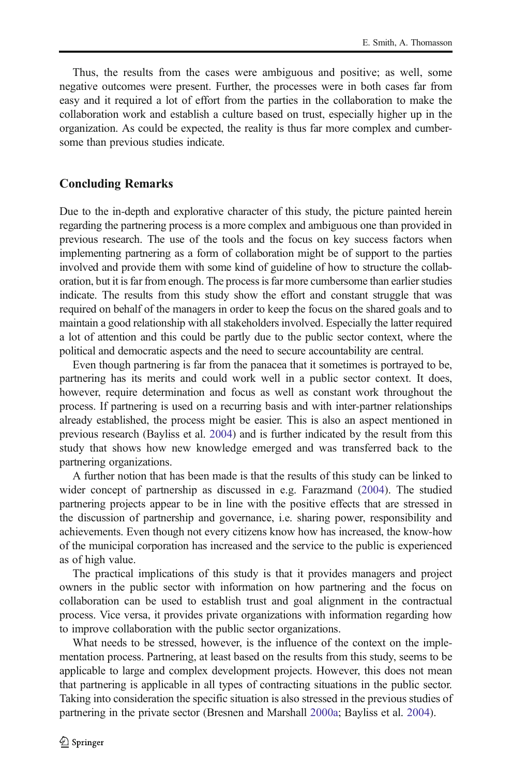Thus, the results from the cases were ambiguous and positive; as well, some negative outcomes were present. Further, the processes were in both cases far from easy and it required a lot of effort from the parties in the collaboration to make the collaboration work and establish a culture based on trust, especially higher up in the organization. As could be expected, the reality is thus far more complex and cumbersome than previous studies indicate.

# Concluding Remarks

Due to the in-depth and explorative character of this study, the picture painted herein regarding the partnering process is a more complex and ambiguous one than provided in previous research. The use of the tools and the focus on key success factors when implementing partnering as a form of collaboration might be of support to the parties involved and provide them with some kind of guideline of how to structure the collaboration, but it is far from enough. The process is far more cumbersome than earlier studies indicate. The results from this study show the effort and constant struggle that was required on behalf of the managers in order to keep the focus on the shared goals and to maintain a good relationship with all stakeholders involved. Especially the latter required a lot of attention and this could be partly due to the public sector context, where the political and democratic aspects and the need to secure accountability are central.

Even though partnering is far from the panacea that it sometimes is portrayed to be, partnering has its merits and could work well in a public sector context. It does, however, require determination and focus as well as constant work throughout the process. If partnering is used on a recurring basis and with inter-partner relationships already established, the process might be easier. This is also an aspect mentioned in previous research (Bayliss et al. [2004](#page-14-0)) and is further indicated by the result from this study that shows how new knowledge emerged and was transferred back to the partnering organizations.

A further notion that has been made is that the results of this study can be linked to wider concept of partnership as discussed in e.g. Farazmand [\(2004](#page-14-0)). The studied partnering projects appear to be in line with the positive effects that are stressed in the discussion of partnership and governance, i.e. sharing power, responsibility and achievements. Even though not every citizens know how has increased, the know-how of the municipal corporation has increased and the service to the public is experienced as of high value.

The practical implications of this study is that it provides managers and project owners in the public sector with information on how partnering and the focus on collaboration can be used to establish trust and goal alignment in the contractual process. Vice versa, it provides private organizations with information regarding how to improve collaboration with the public sector organizations.

What needs to be stressed, however, is the influence of the context on the implementation process. Partnering, at least based on the results from this study, seems to be applicable to large and complex development projects. However, this does not mean that partnering is applicable in all types of contracting situations in the public sector. Taking into consideration the specific situation is also stressed in the previous studies of partnering in the private sector (Bresnen and Marshall [2000a](#page-14-0); Bayliss et al. [2004\)](#page-14-0).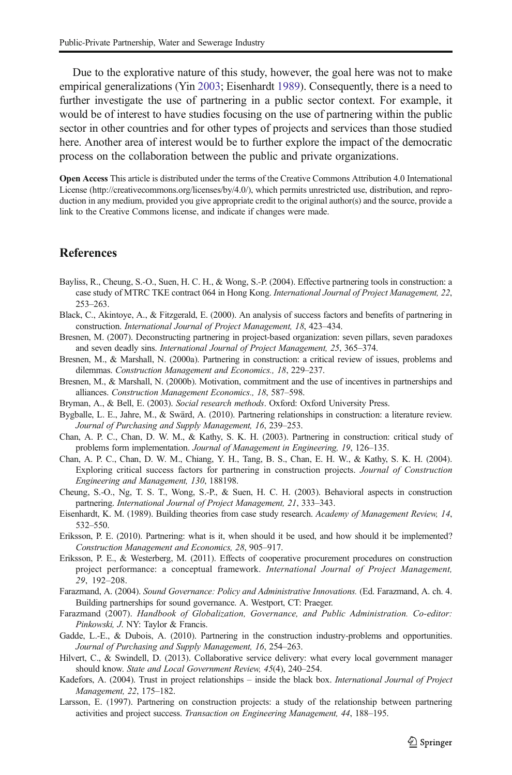<span id="page-14-0"></span>Due to the explorative nature of this study, however, the goal here was not to make empirical generalizations (Yin [2003](#page-15-0); Eisenhardt 1989). Consequently, there is a need to further investigate the use of partnering in a public sector context. For example, it would be of interest to have studies focusing on the use of partnering within the public sector in other countries and for other types of projects and services than those studied here. Another area of interest would be to further explore the impact of the democratic process on the collaboration between the public and private organizations.

Open Access This article is distributed under the terms of the Creative Commons Attribution 4.0 International License (http://creativecommons.org/licenses/by/4.0/), which permits unrestricted use, distribution, and reproduction in any medium, provided you give appropriate credit to the original author(s) and the source, provide a link to the Creative Commons license, and indicate if changes were made.

# **References**

- Bayliss, R., Cheung, S.-O., Suen, H. C. H., & Wong, S.-P. (2004). Effective partnering tools in construction: a case study of MTRC TKE contract 064 in Hong Kong. International Journal of Project Management, 22, 253–263.
- Black, C., Akintoye, A., & Fitzgerald, E. (2000). An analysis of success factors and benefits of partnering in construction. International Journal of Project Management, 18, 423–434.
- Bresnen, M. (2007). Deconstructing partnering in project-based organization: seven pillars, seven paradoxes and seven deadly sins. International Journal of Project Management, 25, 365–374.
- Bresnen, M., & Marshall, N. (2000a). Partnering in construction: a critical review of issues, problems and dilemmas. Construction Management and Economics., 18, 229–237.
- Bresnen, M., & Marshall, N. (2000b). Motivation, commitment and the use of incentives in partnerships and alliances. Construction Management Economics., 18, 587–598.
- Bryman, A., & Bell, E. (2003). Social research methods. Oxford: Oxford University Press.
- Bygballe, L. E., Jahre, M., & Swärd, A. (2010). Partnering relationships in construction: a literature review. Journal of Purchasing and Supply Management, 16, 239–253.
- Chan, A. P. C., Chan, D. W. M., & Kathy, S. K. H. (2003). Partnering in construction: critical study of problems form implementation. Journal of Management in Engineering, 19, 126–135.
- Chan, A. P. C., Chan, D. W. M., Chiang, Y. H., Tang, B. S., Chan, E. H. W., & Kathy, S. K. H. (2004). Exploring critical success factors for partnering in construction projects. Journal of Construction Engineering and Management, 130, 188198.
- Cheung, S.-O., Ng, T. S. T., Wong, S.-P., & Suen, H. C. H. (2003). Behavioral aspects in construction partnering. International Journal of Project Management, 21, 333–343.
- Eisenhardt, K. M. (1989). Building theories from case study research. Academy of Management Review, 14, 532–550.
- Eriksson, P. E. (2010). Partnering: what is it, when should it be used, and how should it be implemented? Construction Management and Economics, 28, 905–917.
- Eriksson, P. E., & Westerberg, M. (2011). Effects of cooperative procurement procedures on construction project performance: a conceptual framework. International Journal of Project Management, 29, 192–208.
- Farazmand, A. (2004). Sound Governance: Policy and Administrative Innovations. (Ed. Farazmand, A. ch. 4. Building partnerships for sound governance. A. Westport, CT: Praeger.
- Farazmand (2007). Handbook of Globalization, Governance, and Public Administration. Co-editor: Pinkowski, J. NY: Taylor & Francis.
- Gadde, L.-E., & Dubois, A. (2010). Partnering in the construction industry-problems and opportunities. Journal of Purchasing and Supply Management, 16, 254–263.
- Hilvert, C., & Swindell, D. (2013). Collaborative service delivery: what every local government manager should know. State and Local Government Review, 45(4), 240–254.
- Kadefors, A. (2004). Trust in project relationships inside the black box. International Journal of Project Management, 22, 175–182.
- Larsson, E. (1997). Partnering on construction projects: a study of the relationship between partnering activities and project success. Transaction on Engineering Management, 44, 188–195.